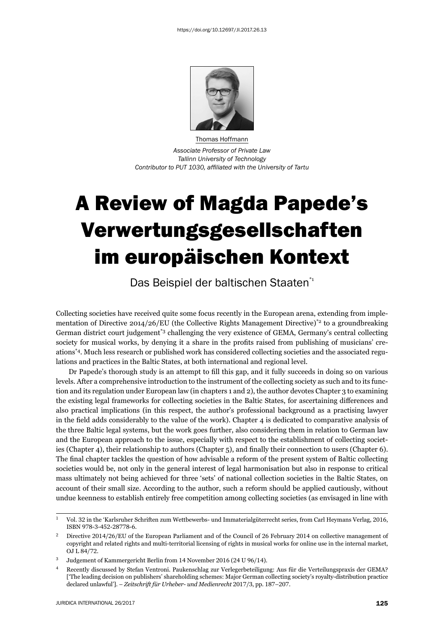

Thomas Hoffmann *Associate Professor of Private Law Tallinn University of Technology Contributor to PUT 1030, affi liated with the University of Tartu*

## A Review of Magda Papede's Verwertungsgesellschaften im europäischen Kontext

Das Beispiel der baltischen Staaten\*<sup>1</sup>

Collecting societies have received quite some focus recently in the European arena, extending from implementation of Directive 2014/26/EU (the Collective Rights Management Directive)<sup>\*2</sup> to a groundbreaking German district court judgement\*3 challenging the very existence of GEMA, Germany's central collecting society for musical works, by denying it a share in the profits raised from publishing of musicians' creations\*4. Much less research or published work has considered collecting societies and the associated regulations and practices in the Baltic States, at both international and regional level.

Dr Papede's thorough study is an attempt to fill this gap, and it fully succeeds in doing so on various levels. After a comprehensive introduction to the instrument of the collecting society as such and to its function and its regulation under European law (in chapters 1 and 2), the author devotes Chapter 3 to examining the existing legal frameworks for collecting societies in the Baltic States, for ascertaining differences and also practical implications (in this respect, the author's professional background as a practising lawyer in the field adds considerably to the value of the work). Chapter 4 is dedicated to comparative analysis of the three Baltic legal systems, but the work goes further, also considering them in relation to German law and the European approach to the issue, especially with respect to the establishment of collecting societies (Chapter 4), their relationship to authors (Chapter 5), and finally their connection to users (Chapter 6). The final chapter tackles the question of how advisable a reform of the present system of Baltic collecting societies would be, not only in the general interest of legal harmonisation but also in response to critical mass ultimately not being achieved for three 'sets' of national collection societies in the Baltic States, on account of their small size. According to the author, such a reform should be applied cautiously, without undue keenness to establish entirely free competition among collecting societies (as envisaged in line with

 $1$  Vol. 32 in the 'Karlsruher Schriften zum Wettbewerbs- und Immaterialgüterrecht series, from Carl Heymans Verlag, 2016, ISBN 978-3-452-28778-6.

<sup>&</sup>lt;sup>2</sup> Directive  $2014/26$ /EU of the European Parliament and of the Council of 26 February 2014 on collective management of copyright and related rights and multi-territorial licensing of rights in musical works for online use in the internal market, OJ L 84/72.

 $3$  Judgement of Kammergericht Berlin from 14 November 2016 (24 U  $96/14$ ).

<sup>ɵ</sup> Recently discussed by Stefan Ventroni. Paukenschlag zur Verlegerbeteiligung: Aus für die Verteilungspraxis der GEMA? ['The leading decision on publishers' shareholding schemes: Major German collecting society's royalty-distribution practice declared unlawful']. - Zeitschrift für Urheber- und Medienrecht 2017/3, pp. 187-207.